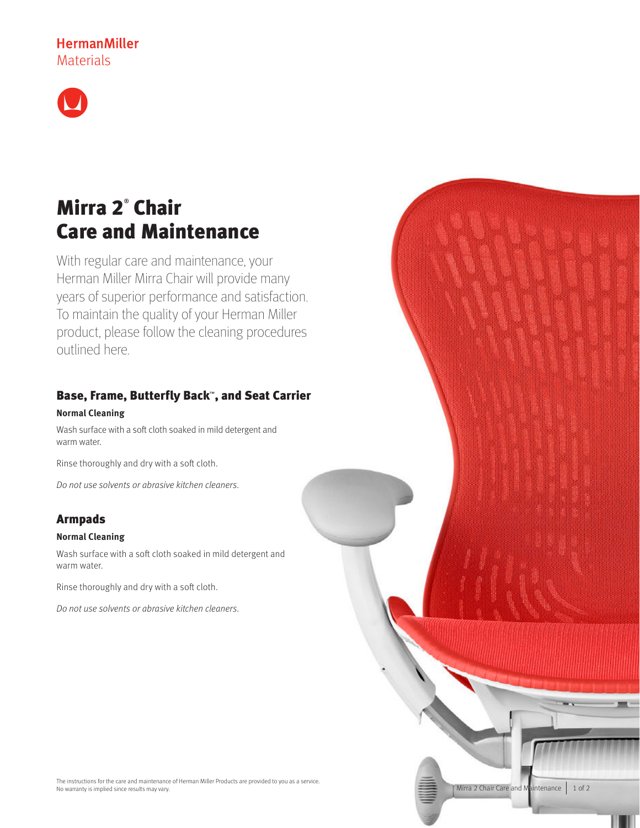# **HermanMiller Materials**



# Mirra 2® Chair Care and Maintenance

With regular care and maintenance, your Herman Miller Mirra Chair will provide many years of superior performance and satisfaction. To maintain the quality of your Herman Miller product, please follow the cleaning procedures outlined here.

## Base, Frame, Butterfly Back™, and Seat Carrier

## **Normal Cleaning**

Wash surface with a soft cloth soaked in mild detergent and warm water.

Rinse thoroughly and dry with a soft cloth.

Do not use solvents or abrasive kitchen cleaners.

## Armpads

### **Normal Cleaning**

Wash surface with a soft cloth soaked in mild detergent and warm water.

Rinse thoroughly and dry with a soft cloth.

Do not use solvents or abrasive kitchen cleaners.

Mirra 2 Chair Care and Maintenance 1 of 2